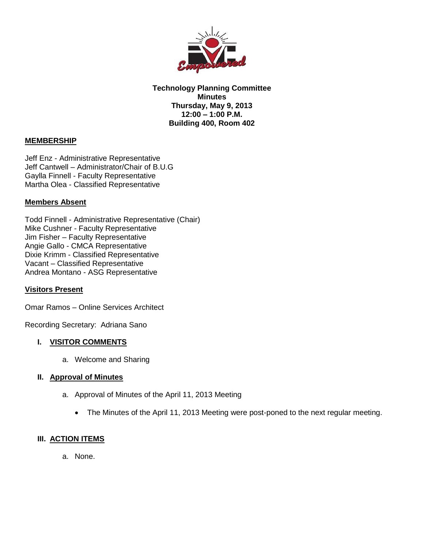

**Technology Planning Committee Minutes Thursday, May 9, 2013 12:00 – 1:00 P.M. Building 400, Room 402**

# **MEMBERSHIP**

Jeff Enz - Administrative Representative Jeff Cantwell – Administrator/Chair of B.U.G Gaylla Finnell - Faculty Representative Martha Olea - Classified Representative

# **Members Absent**

Todd Finnell - Administrative Representative (Chair) Mike Cushner - Faculty Representative Jim Fisher – Faculty Representative Angie Gallo - CMCA Representative Dixie Krimm - Classified Representative Vacant – Classified Representative Andrea Montano - ASG Representative

## **Visitors Present**

Omar Ramos – Online Services Architect

Recording Secretary: Adriana Sano

## **I. VISITOR COMMENTS**

a. Welcome and Sharing

#### **II. Approval of Minutes**

- a. Approval of Minutes of the April 11, 2013 Meeting
	- The Minutes of the April 11, 2013 Meeting were post-poned to the next regular meeting.

## **III. ACTION ITEMS**

a. None.